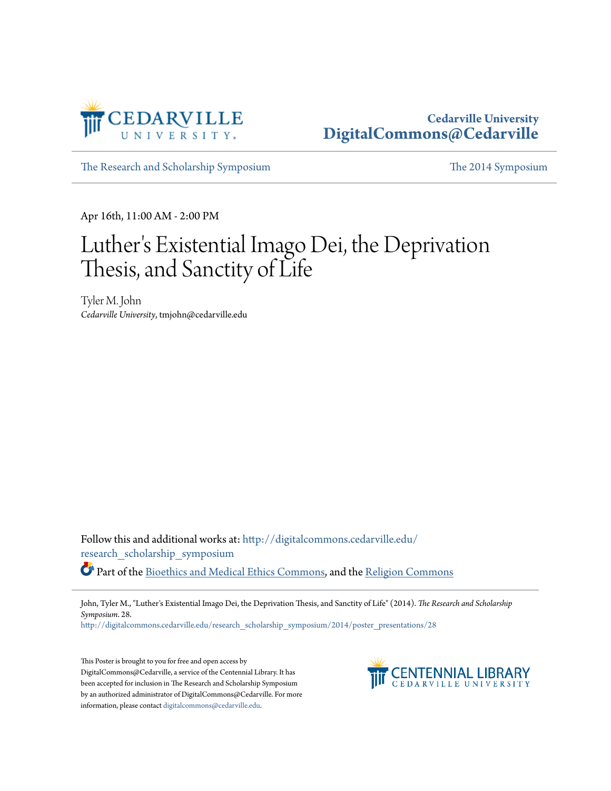

### **Cedarville University [DigitalCommons@Cedarville](http://digitalcommons.cedarville.edu?utm_source=digitalcommons.cedarville.edu%2Fresearch_scholarship_symposium%2F2014%2Fposter_presentations%2F28&utm_medium=PDF&utm_campaign=PDFCoverPages)**

[The Research and Scholarship Symposium](http://digitalcommons.cedarville.edu/research_scholarship_symposium?utm_source=digitalcommons.cedarville.edu%2Fresearch_scholarship_symposium%2F2014%2Fposter_presentations%2F28&utm_medium=PDF&utm_campaign=PDFCoverPages) [The 2014 Symposium](http://digitalcommons.cedarville.edu/research_scholarship_symposium/2014?utm_source=digitalcommons.cedarville.edu%2Fresearch_scholarship_symposium%2F2014%2Fposter_presentations%2F28&utm_medium=PDF&utm_campaign=PDFCoverPages)

Apr 16th, 11:00 AM - 2:00 PM

### Luther 's Existential Imago Dei, the Deprivation Thesis, and Sanctity of Life

Tyler M. John *Cedarville University*, tmjohn@cedarville.edu

Follow this and additional works at: [http://digitalcommons.cedarville.edu/](http://digitalcommons.cedarville.edu/research_scholarship_symposium?utm_source=digitalcommons.cedarville.edu%2Fresearch_scholarship_symposium%2F2014%2Fposter_presentations%2F28&utm_medium=PDF&utm_campaign=PDFCoverPages) [research\\_scholarship\\_symposium](http://digitalcommons.cedarville.edu/research_scholarship_symposium?utm_source=digitalcommons.cedarville.edu%2Fresearch_scholarship_symposium%2F2014%2Fposter_presentations%2F28&utm_medium=PDF&utm_campaign=PDFCoverPages) Part of the [Bioethics and Medical Ethics Commons,](http://network.bepress.com/hgg/discipline/650?utm_source=digitalcommons.cedarville.edu%2Fresearch_scholarship_symposium%2F2014%2Fposter_presentations%2F28&utm_medium=PDF&utm_campaign=PDFCoverPages) and the [Religion Commons](http://network.bepress.com/hgg/discipline/538?utm_source=digitalcommons.cedarville.edu%2Fresearch_scholarship_symposium%2F2014%2Fposter_presentations%2F28&utm_medium=PDF&utm_campaign=PDFCoverPages)

John, Tyler M., "Luther's Existential Imago Dei, the Deprivation Thesis, and Sanctity of Life" (2014). *The Research and Scholarship Symposium*. 28.

[http://digitalcommons.cedarville.edu/research\\_scholarship\\_symposium/2014/poster\\_presentations/28](http://digitalcommons.cedarville.edu/research_scholarship_symposium/2014/poster_presentations/28?utm_source=digitalcommons.cedarville.edu%2Fresearch_scholarship_symposium%2F2014%2Fposter_presentations%2F28&utm_medium=PDF&utm_campaign=PDFCoverPages)

This Poster is brought to you for free and open access by DigitalCommons@Cedarville, a service of the Centennial Library. It has been accepted for inclusion in The Research and Scholarship Symposium by an authorized administrator of DigitalCommons@Cedarville. For more information, please contact [digitalcommons@cedarville.edu.](mailto:digitalcommons@cedarville.edu)